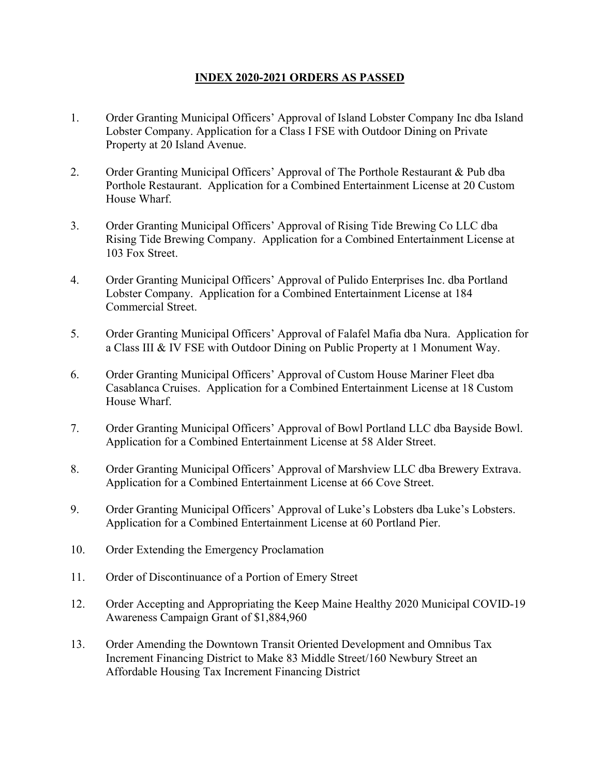## **INDEX 2020-2021 ORDERS AS PASSED**

- 1. Order Granting Municipal Officers' Approval of Island Lobster Company Inc dba Island Lobster Company. Application for a Class I FSE with Outdoor Dining on Private Property at 20 Island Avenue.
- 2. Order Granting Municipal Officers' Approval of The Porthole Restaurant & Pub dba Porthole Restaurant. Application for a Combined Entertainment License at 20 Custom House Wharf.
- 3. Order Granting Municipal Officers' Approval of Rising Tide Brewing Co LLC dba Rising Tide Brewing Company. Application for a Combined Entertainment License at 103 Fox Street.
- 4. Order Granting Municipal Officers' Approval of Pulido Enterprises Inc. dba Portland Lobster Company. Application for a Combined Entertainment License at 184 Commercial Street.
- 5. Order Granting Municipal Officers' Approval of Falafel Mafia dba Nura. Application for a Class III & IV FSE with Outdoor Dining on Public Property at 1 Monument Way.
- 6. Order Granting Municipal Officers' Approval of Custom House Mariner Fleet dba Casablanca Cruises. Application for a Combined Entertainment License at 18 Custom House Wharf.
- 7. Order Granting Municipal Officers' Approval of Bowl Portland LLC dba Bayside Bowl. Application for a Combined Entertainment License at 58 Alder Street.
- 8. Order Granting Municipal Officers' Approval of Marshview LLC dba Brewery Extrava. Application for a Combined Entertainment License at 66 Cove Street.
- 9. Order Granting Municipal Officers' Approval of Luke's Lobsters dba Luke's Lobsters. Application for a Combined Entertainment License at 60 Portland Pier.
- 10. Order Extending the Emergency Proclamation
- 11. Order of Discontinuance of a Portion of Emery Street
- 12. Order Accepting and Appropriating the Keep Maine Healthy 2020 Municipal COVID19 Awareness Campaign Grant of \$1,884,960
- 13. Order Amending the Downtown Transit Oriented Development and Omnibus Tax Increment Financing District to Make 83 Middle Street/160 Newbury Street an Affordable Housing Tax Increment Financing District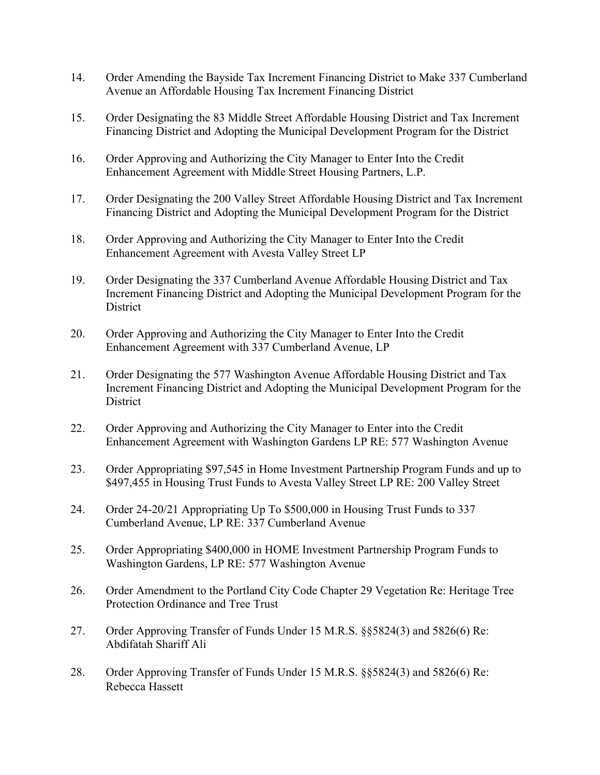- 14. Order Amending the Bayside Tax Increment Financing District to Make 337 Cumberland Avenue an Affordable Housing Tax Increment Financing District
- 15. Order Designating the 83 Middle Street Affordable Housing District and Tax Increment Financing District and Adopting the Municipal Development Program for the District
- 16. Order Approving and Authorizing the City Manager to Enter Into the Credit Enhancement Agreement with Middle Street Housing Partners, L.P.
- 17. Order Designating the 200 Valley Street Affordable Housing District and Tax Increment Financing District and Adopting the Municipal Development Program for the District
- 18. Order Approving and Authorizing the City Manager to Enter Into the Credit Enhancement Agreement with Avesta Valley Street LP
- 19. Order Designating the 337 Cumberland Avenue Affordable Housing District and Tax Increment Financing District and Adopting the Municipal Development Program for the **District**
- 20. Order Approving and Authorizing the City Manager to Enter Into the Credit Enhancement Agreement with 337 Cumberland Avenue, LP
- 21. Order Designating the 577 Washington Avenue Affordable Housing District and Tax Increment Financing District and Adopting the Municipal Development Program for the **District**
- 22. Order Approving and Authorizing the City Manager to Enter into the Credit Enhancement Agreement with Washington Gardens LP RE: 577 Washington Avenue
- 23. Order Appropriating \$97,545 in Home Investment Partnership Program Funds and up to \$497,455 in Housing Trust Funds to Avesta Valley Street LP RE: 200 Valley Street
- 24. Order 24-20/21 Appropriating Up To \$500,000 in Housing Trust Funds to 337 Cumberland Avenue, LP RE: 337 Cumberland Avenue
- 25. Order Appropriating \$400,000 in HOME Investment Partnership Program Funds to Washington Gardens, LP RE: 577 Washington Avenue
- 26. Order Amendment to the Portland City Code Chapter 29 Vegetation Re: Heritage Tree Protection Ordinance and Tree Trust
- 27. Order Approving Transfer of Funds Under 15 M.R.S. §§5824(3) and 5826(6) Re: Abdifatah Shariff Ali
- 28. Order Approving Transfer of Funds Under 15 M.R.S. §§5824(3) and 5826(6) Re: Rebecca Hassett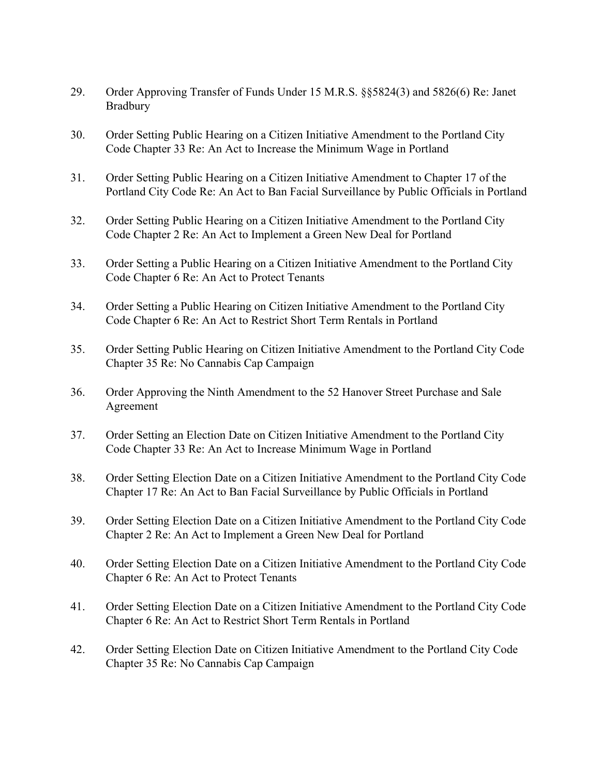- 29. Order Approving Transfer of Funds Under 15 M.R.S. §§5824(3) and 5826(6) Re: Janet Bradbury
- 30. Order Setting Public Hearing on a Citizen Initiative Amendment to the Portland City Code Chapter 33 Re: An Act to Increase the Minimum Wage in Portland
- 31. Order Setting Public Hearing on a Citizen Initiative Amendment to Chapter 17 of the Portland City Code Re: An Act to Ban Facial Surveillance by Public Officials in Portland
- 32. Order Setting Public Hearing on a Citizen Initiative Amendment to the Portland City Code Chapter 2 Re: An Act to Implement a Green New Deal for Portland
- 33. Order Setting a Public Hearing on a Citizen Initiative Amendment to the Portland City Code Chapter 6 Re: An Act to Protect Tenants
- 34. Order Setting a Public Hearing on Citizen Initiative Amendment to the Portland City Code Chapter 6 Re: An Act to Restrict Short Term Rentals in Portland
- 35. Order Setting Public Hearing on Citizen Initiative Amendment to the Portland City Code Chapter 35 Re: No Cannabis Cap Campaign
- 36. Order Approving the Ninth Amendment to the 52 Hanover Street Purchase and Sale Agreement
- 37. Order Setting an Election Date on Citizen Initiative Amendment to the Portland City Code Chapter 33 Re: An Act to Increase Minimum Wage in Portland
- 38. Order Setting Election Date on a Citizen Initiative Amendment to the Portland City Code Chapter 17 Re: An Act to Ban Facial Surveillance by Public Officials in Portland
- 39. Order Setting Election Date on a Citizen Initiative Amendment to the Portland City Code Chapter 2 Re: An Act to Implement a Green New Deal for Portland
- 40. Order Setting Election Date on a Citizen Initiative Amendment to the Portland City Code Chapter 6 Re: An Act to Protect Tenants
- 41. Order Setting Election Date on a Citizen Initiative Amendment to the Portland City Code Chapter 6 Re: An Act to Restrict Short Term Rentals in Portland
- 42. Order Setting Election Date on Citizen Initiative Amendment to the Portland City Code Chapter 35 Re: No Cannabis Cap Campaign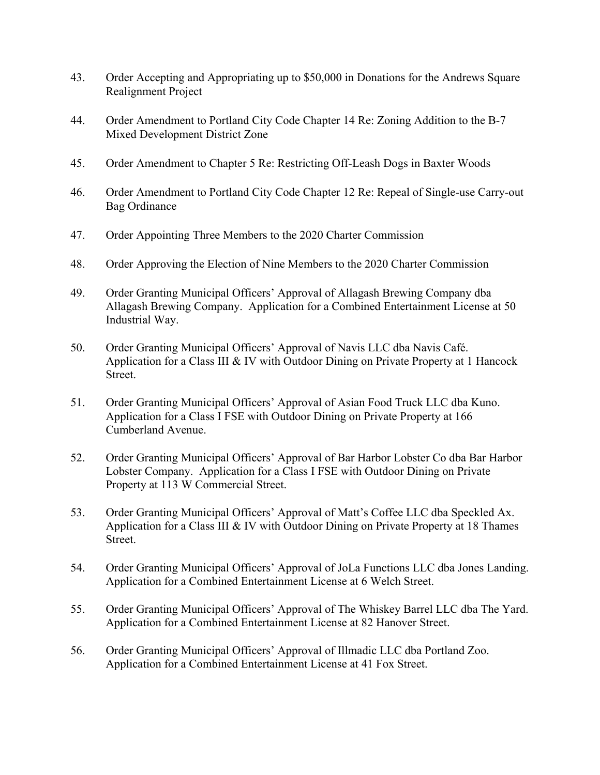- 43. Order Accepting and Appropriating up to \$50,000 in Donations for the Andrews Square Realignment Project
- 44. Order Amendment to Portland City Code Chapter 14 Re: Zoning Addition to the B-7 Mixed Development District Zone
- 45. Order Amendment to Chapter 5 Re: Restricting Off-Leash Dogs in Baxter Woods
- 46. Order Amendment to Portland City Code Chapter 12 Re: Repeal of Single-use Carry-out Bag Ordinance
- 47. Order Appointing Three Members to the 2020 Charter Commission
- 48. Order Approving the Election of Nine Members to the 2020 Charter Commission
- 49. Order Granting Municipal Officers' Approval of Allagash Brewing Company dba Allagash Brewing Company. Application for a Combined Entertainment License at 50 Industrial Way.
- 50. Order Granting Municipal Officers' Approval of Navis LLC dba Navis Café. Application for a Class III & IV with Outdoor Dining on Private Property at 1 Hancock Street.
- 51. Order Granting Municipal Officers' Approval of Asian Food Truck LLC dba Kuno. Application for a Class I FSE with Outdoor Dining on Private Property at 166 Cumberland Avenue.
- 52. Order Granting Municipal Officers' Approval of Bar Harbor Lobster Co dba Bar Harbor Lobster Company. Application for a Class I FSE with Outdoor Dining on Private Property at 113 W Commercial Street.
- 53. Order Granting Municipal Officers' Approval of Matt's Coffee LLC dba Speckled Ax. Application for a Class III & IV with Outdoor Dining on Private Property at 18 Thames Street.
- 54. Order Granting Municipal Officers' Approval of JoLa Functions LLC dba Jones Landing. Application for a Combined Entertainment License at 6 Welch Street.
- 55. Order Granting Municipal Officers' Approval of The Whiskey Barrel LLC dba The Yard. Application for a Combined Entertainment License at 82 Hanover Street.
- 56. Order Granting Municipal Officers' Approval of Illmadic LLC dba Portland Zoo. Application for a Combined Entertainment License at 41 Fox Street.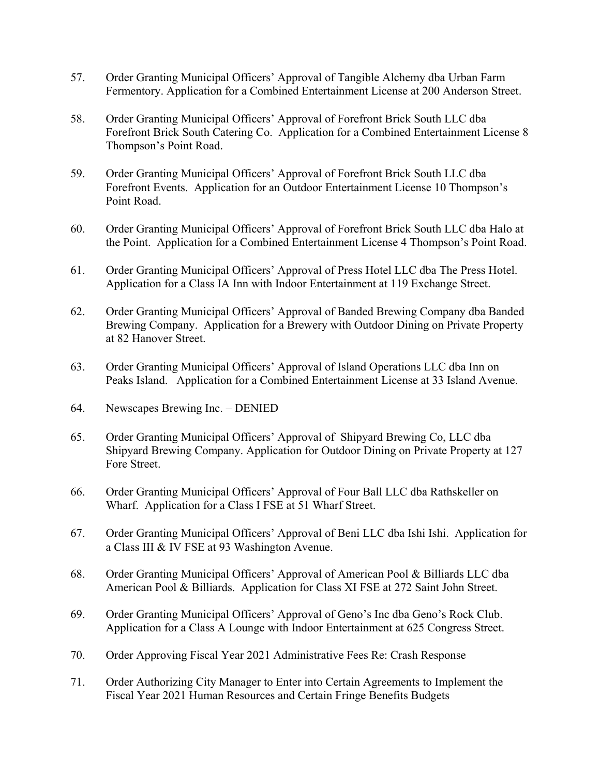- 57. Order Granting Municipal Officers' Approval of Tangible Alchemy dba Urban Farm Fermentory. Application for a Combined Entertainment License at 200 Anderson Street.
- 58. Order Granting Municipal Officers' Approval of Forefront Brick South LLC dba Forefront Brick South Catering Co. Application for a Combined Entertainment License 8 Thompson's Point Road.
- 59. Order Granting Municipal Officers' Approval of Forefront Brick South LLC dba Forefront Events. Application for an Outdoor Entertainment License 10 Thompson's Point Road.
- 60. Order Granting Municipal Officers' Approval of Forefront Brick South LLC dba Halo at the Point. Application for a Combined Entertainment License 4 Thompson's Point Road.
- 61. Order Granting Municipal Officers' Approval of Press Hotel LLC dba The Press Hotel. Application for a Class IA Inn with Indoor Entertainment at 119 Exchange Street.
- 62. Order Granting Municipal Officers' Approval of Banded Brewing Company dba Banded Brewing Company. Application for a Brewery with Outdoor Dining on Private Property at 82 Hanover Street.
- 63. Order Granting Municipal Officers' Approval of Island Operations LLC dba Inn on Peaks Island. Application for a Combined Entertainment License at 33 Island Avenue.
- 64. Newscapes Brewing Inc. DENIED
- 65. Order Granting Municipal Officers' Approval of Shipyard Brewing Co, LLC dba Shipyard Brewing Company. Application for Outdoor Dining on Private Property at 127 Fore Street.
- 66. Order Granting Municipal Officers' Approval of Four Ball LLC dba Rathskeller on Wharf. Application for a Class I FSE at 51 Wharf Street.
- 67. Order Granting Municipal Officers' Approval of Beni LLC dba Ishi Ishi. Application for a Class III & IV FSE at 93 Washington Avenue.
- 68. Order Granting Municipal Officers' Approval of American Pool & Billiards LLC dba American Pool & Billiards. Application for Class XI FSE at 272 Saint John Street.
- 69. Order Granting Municipal Officers' Approval of Geno's Inc dba Geno's Rock Club. Application for a Class A Lounge with Indoor Entertainment at 625 Congress Street.
- 70. Order Approving Fiscal Year 2021 Administrative Fees Re: Crash Response
- 71. Order Authorizing City Manager to Enter into Certain Agreements to Implement the Fiscal Year 2021 Human Resources and Certain Fringe Benefits Budgets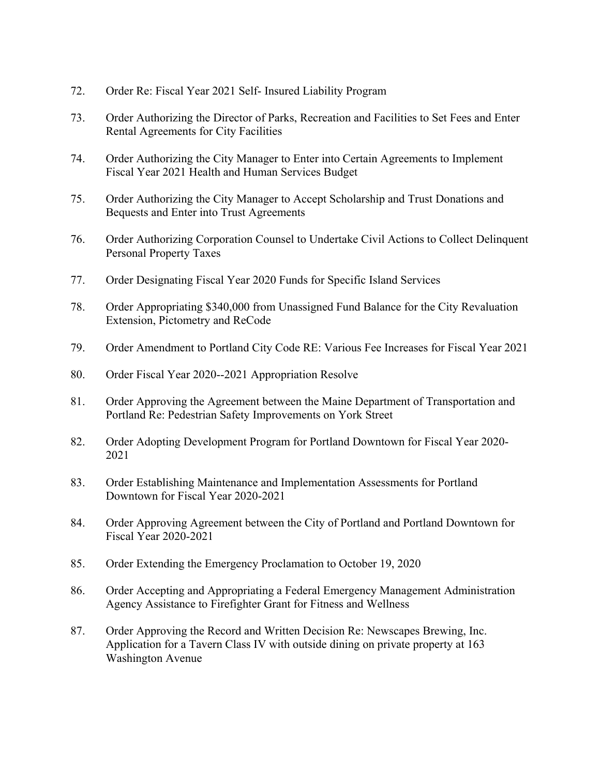- 72. Order Re: Fiscal Year 2021 Self- Insured Liability Program
- 73. Order Authorizing the Director of Parks, Recreation and Facilities to Set Fees and Enter Rental Agreements for City Facilities
- 74. Order Authorizing the City Manager to Enter into Certain Agreements to Implement Fiscal Year 2021 Health and Human Services Budget
- 75. Order Authorizing the City Manager to Accept Scholarship and Trust Donations and Bequests and Enter into Trust Agreements
- 76. Order Authorizing Corporation Counsel to Undertake Civil Actions to Collect Delinquent Personal Property Taxes
- 77. Order Designating Fiscal Year 2020 Funds for Specific Island Services
- 78. Order Appropriating \$340,000 from Unassigned Fund Balance for the City Revaluation Extension, Pictometry and ReCode
- 79. Order Amendment to Portland City Code RE: Various Fee Increases for Fiscal Year 2021
- 80. Order Fiscal Year 2020-2021 Appropriation Resolve
- 81. Order Approving the Agreement between the Maine Department of Transportation and Portland Re: Pedestrian Safety Improvements on York Street
- 82. Order Adopting Development Program for Portland Downtown for Fiscal Year 2020-2021
- 83. Order Establishing Maintenance and Implementation Assessments for Portland Downtown for Fiscal Year 2020-2021
- 84. Order Approving Agreement between the City of Portland and Portland Downtown for Fiscal Year 2020-2021
- 85. Order Extending the Emergency Proclamation to October 19, 2020
- 86. Order Accepting and Appropriating a Federal Emergency Management Administration Agency Assistance to Firefighter Grant for Fitness and Wellness
- 87. Order Approving the Record and Written Decision Re: Newscapes Brewing, Inc. Application for a Tavern Class IV with outside dining on private property at 163 Washington Avenue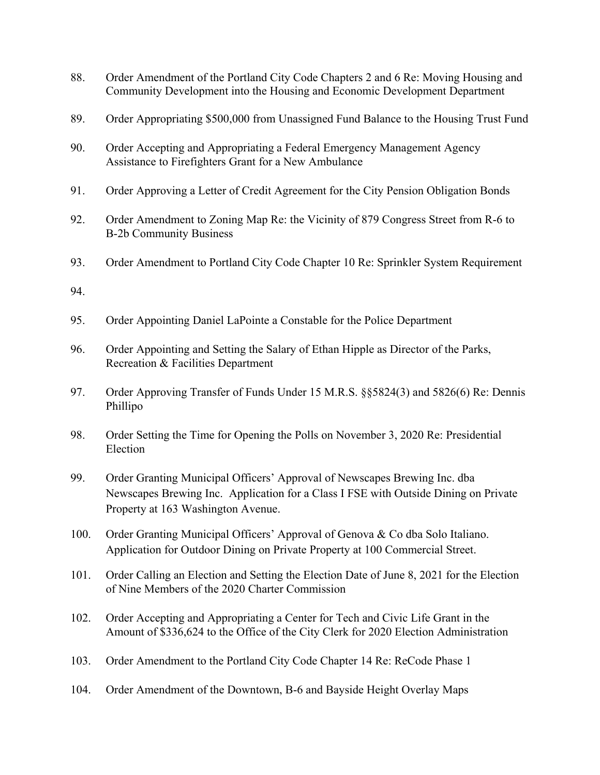- 88. Order Amendment of the Portland City Code Chapters 2 and 6 Re: Moving Housing and Community Development into the Housing and Economic Development Department
- 89. Order Appropriating \$500,000 from Unassigned Fund Balance to the Housing Trust Fund
- 90. Order Accepting and Appropriating a Federal Emergency Management Agency Assistance to Firefighters Grant for a New Ambulance
- 91. Order Approving a Letter of Credit Agreement for the City Pension Obligation Bonds
- 92. Order Amendment to Zoning Map Re: the Vicinity of 879 Congress Street from R-6 to B-2b Community Business
- 93. Order Amendment to Portland City Code Chapter 10 Re: Sprinkler System Requirement

94.

- 95. Order Appointing Daniel LaPointe a Constable for the Police Department
- 96. Order Appointing and Setting the Salary of Ethan Hipple as Director of the Parks, Recreation & Facilities Department
- 97. Order Approving Transfer of Funds Under 15 M.R.S. §§5824(3) and 5826(6) Re: Dennis Phillipo
- 98. Order Setting the Time for Opening the Polls on November 3, 2020 Re: Presidential Election
- 99. Order Granting Municipal Officers' Approval of Newscapes Brewing Inc. dba Newscapes Brewing Inc. Application for a Class I FSE with Outside Dining on Private Property at 163 Washington Avenue.
- 100. Order Granting Municipal Officers' Approval of Genova & Co dba Solo Italiano. Application for Outdoor Dining on Private Property at 100 Commercial Street.
- 101. Order Calling an Election and Setting the Election Date of June 8, 2021 for the Election of Nine Members of the 2020 Charter Commission
- 102. Order Accepting and Appropriating a Center for Tech and Civic Life Grant in the Amount of \$336,624 to the Office of the City Clerk for 2020 Election Administration
- 103. Order Amendment to the Portland City Code Chapter 14 Re: ReCode Phase 1
- 104. Order Amendment of the Downtown, B-6 and Bayside Height Overlay Maps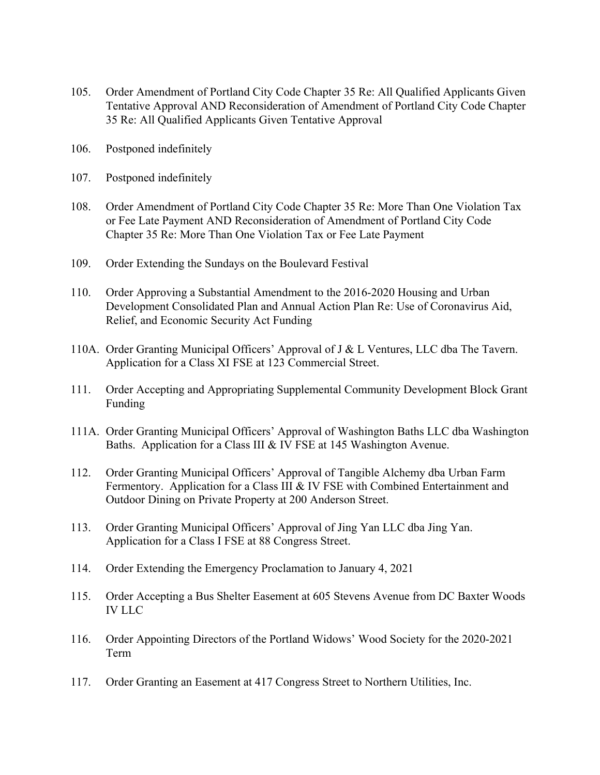- 105. Order Amendment of Portland City Code Chapter 35 Re: All Qualified Applicants Given Tentative Approval AND Reconsideration of Amendment of Portland City Code Chapter 35 Re: All Qualified Applicants Given Tentative Approval
- 106. Postponed indefinitely
- 107. Postponed indefinitely
- 108. Order Amendment of Portland City Code Chapter 35 Re: More Than One Violation Tax or Fee Late Payment AND Reconsideration of Amendment of Portland City Code Chapter 35 Re: More Than One Violation Tax or Fee Late Payment
- 109. Order Extending the Sundays on the Boulevard Festival
- 110. Order Approving a Substantial Amendment to the 2016-2020 Housing and Urban Development Consolidated Plan and Annual Action Plan Re: Use of Coronavirus Aid, Relief, and Economic Security Act Funding
- 110A. Order Granting Municipal Officers' Approval of J & L Ventures, LLC dba The Tavern. Application for a Class XI FSE at 123 Commercial Street.
- 111. Order Accepting and Appropriating Supplemental Community Development Block Grant Funding
- 111A. Order Granting Municipal Officers' Approval of Washington Baths LLC dba Washington Baths. Application for a Class III & IV FSE at 145 Washington Avenue.
- 112. Order Granting Municipal Officers' Approval of Tangible Alchemy dba Urban Farm Fermentory. Application for a Class III & IV FSE with Combined Entertainment and Outdoor Dining on Private Property at 200 Anderson Street.
- 113. Order Granting Municipal Officers' Approval of Jing Yan LLC dba Jing Yan. Application for a Class I FSE at 88 Congress Street.
- 114. Order Extending the Emergency Proclamation to January 4, 2021
- 115. Order Accepting a Bus Shelter Easement at 605 Stevens Avenue from DC Baxter Woods IV LLC
- 116. Order Appointing Directors of the Portland Widows' Wood Society for the 2020-2021 Term
- 117. Order Granting an Easement at 417 Congress Street to Northern Utilities, Inc.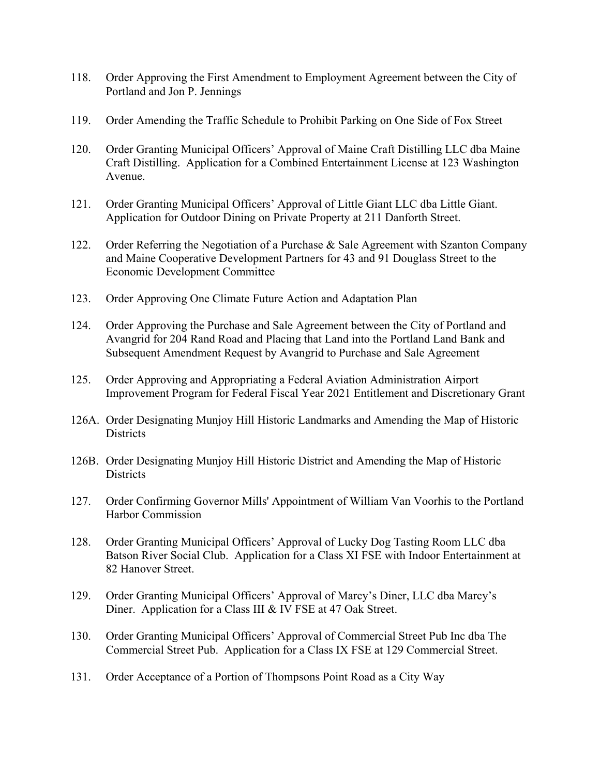- 118. Order Approving the First Amendment to Employment Agreement between the City of Portland and Jon P. Jennings
- 119. Order Amending the Traffic Schedule to Prohibit Parking on One Side of Fox Street
- 120. Order Granting Municipal Officers' Approval of Maine Craft Distilling LLC dba Maine Craft Distilling. Application for a Combined Entertainment License at 123 Washington Avenue.
- 121. Order Granting Municipal Officers' Approval of Little Giant LLC dba Little Giant. Application for Outdoor Dining on Private Property at 211 Danforth Street.
- 122. Order Referring the Negotiation of a Purchase & Sale Agreement with Szanton Company and Maine Cooperative Development Partners for 43 and 91 Douglass Street to the Economic Development Committee
- 123. Order Approving One Climate Future Action and Adaptation Plan
- 124. Order Approving the Purchase and Sale Agreement between the City of Portland and Avangrid for 204 Rand Road and Placing that Land into the Portland Land Bank and Subsequent Amendment Request by Avangrid to Purchase and Sale Agreement
- 125. Order Approving and Appropriating a Federal Aviation Administration Airport Improvement Program for Federal Fiscal Year 2021 Entitlement and Discretionary Grant
- 126A. Order Designating Munjoy Hill Historic Landmarks and Amending the Map of Historic **Districts**
- 126B. Order Designating Munjoy Hill Historic District and Amending the Map of Historic **Districts**
- 127. Order Confirming Governor Mills' Appointment of William Van Voorhis to the Portland Harbor Commission
- 128. Order Granting Municipal Officers' Approval of Lucky Dog Tasting Room LLC dba Batson River Social Club. Application for a Class XI FSE with Indoor Entertainment at 82 Hanover Street.
- 129. Order Granting Municipal Officers' Approval of Marcy's Diner, LLC dba Marcy's Diner. Application for a Class III & IV FSE at 47 Oak Street.
- 130. Order Granting Municipal Officers' Approval of Commercial Street Pub Inc dba The Commercial Street Pub. Application for a Class IX FSE at 129 Commercial Street.
- 131. Order Acceptance of a Portion of Thompsons Point Road as a City Way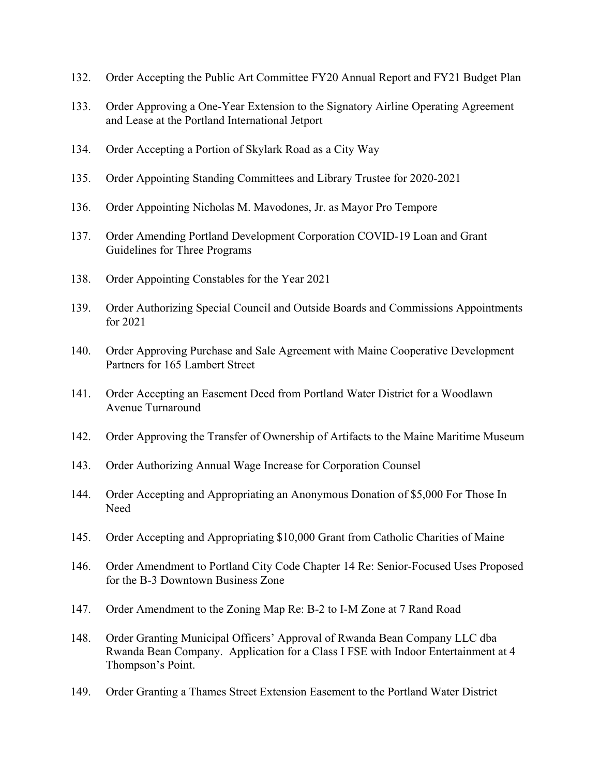- 132. Order Accepting the Public Art Committee FY20 Annual Report and FY21 Budget Plan
- 133. Order Approving a One-Year Extension to the Signatory Airline Operating Agreement and Lease at the Portland International Jetport
- 134. Order Accepting a Portion of Skylark Road as a City Way
- 135. Order Appointing Standing Committees and Library Trustee for 2020-2021
- 136. Order Appointing Nicholas M. Mavodones, Jr. as Mayor Pro Tempore
- 137. Order Amending Portland Development Corporation COVID-19 Loan and Grant Guidelines for Three Programs
- 138. Order Appointing Constables for the Year 2021
- 139. Order Authorizing Special Council and Outside Boards and Commissions Appointments for 2021
- 140. Order Approving Purchase and Sale Agreement with Maine Cooperative Development Partners for 165 Lambert Street
- 141. Order Accepting an Easement Deed from Portland Water District for a Woodlawn Avenue Turnaround
- 142. Order Approving the Transfer of Ownership of Artifacts to the Maine Maritime Museum
- 143. Order Authorizing Annual Wage Increase for Corporation Counsel
- 144. Order Accepting and Appropriating an Anonymous Donation of \$5,000 For Those In Need
- 145. Order Accepting and Appropriating \$10,000 Grant from Catholic Charities of Maine
- 146. Order Amendment to Portland City Code Chapter 14 Re: Senior-Focused Uses Proposed for the B-3 Downtown Business Zone
- 147. Order Amendment to the Zoning Map Re: B-2 to I-M Zone at 7 Rand Road
- 148. Order Granting Municipal Officers' Approval of Rwanda Bean Company LLC dba Rwanda Bean Company. Application for a Class I FSE with Indoor Entertainment at 4 Thompson's Point.
- 149. Order Granting a Thames Street Extension Easement to the Portland Water District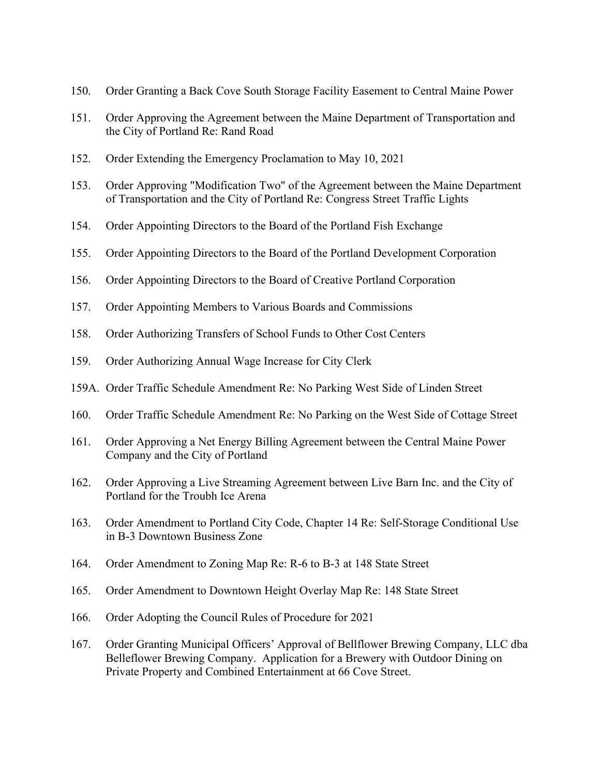- 150. Order Granting a Back Cove South Storage Facility Easement to Central Maine Power
- 151. Order Approving the Agreement between the Maine Department of Transportation and the City of Portland Re: Rand Road
- 152. Order Extending the Emergency Proclamation to May 10, 2021
- 153. Order Approving "Modification Two" of the Agreement between the Maine Department of Transportation and the City of Portland Re: Congress Street Traffic Lights
- 154. Order Appointing Directors to the Board of the Portland Fish Exchange
- 155. Order Appointing Directors to the Board of the Portland Development Corporation
- 156. Order Appointing Directors to the Board of Creative Portland Corporation
- 157. Order Appointing Members to Various Boards and Commissions
- 158. Order Authorizing Transfers of School Funds to Other Cost Centers
- 159. Order Authorizing Annual Wage Increase for City Clerk
- 159A. Order Traffic Schedule Amendment Re: No Parking West Side of Linden Street
- 160. Order Traffic Schedule Amendment Re: No Parking on the West Side of Cottage Street
- 161. Order Approving a Net Energy Billing Agreement between the Central Maine Power Company and the City of Portland
- 162. Order Approving a Live Streaming Agreement between Live Barn Inc. and the City of Portland for the Troubh Ice Arena
- 163. Order Amendment to Portland City Code, Chapter 14 Re: Self-Storage Conditional Use in B-3 Downtown Business Zone
- 164. Order Amendment to Zoning Map Re: R-6 to B-3 at 148 State Street
- 165. Order Amendment to Downtown Height Overlay Map Re: 148 State Street
- 166. Order Adopting the Council Rules of Procedure for 2021
- 167. Order Granting Municipal Officers' Approval of Bellflower Brewing Company, LLC dba Belleflower Brewing Company. Application for a Brewery with Outdoor Dining on Private Property and Combined Entertainment at 66 Cove Street.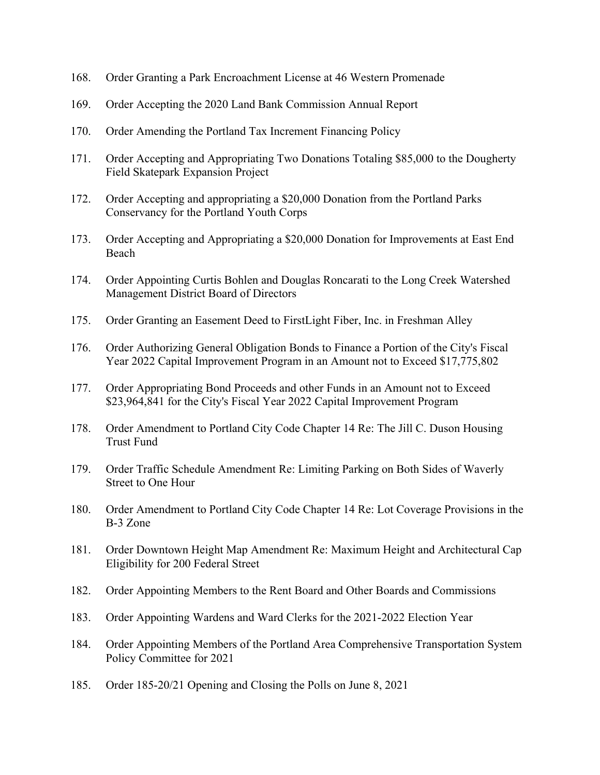- 168. Order Granting a Park Encroachment License at 46 Western Promenade
- 169. Order Accepting the 2020 Land Bank Commission Annual Report
- 170. Order Amending the Portland Tax Increment Financing Policy
- 171. Order Accepting and Appropriating Two Donations Totaling \$85,000 to the Dougherty Field Skatepark Expansion Project
- 172. Order Accepting and appropriating a \$20,000 Donation from the Portland Parks Conservancy for the Portland Youth Corps
- 173. Order Accepting and Appropriating a \$20,000 Donation for Improvements at East End Beach
- 174. Order Appointing Curtis Bohlen and Douglas Roncarati to the Long Creek Watershed Management District Board of Directors
- 175. Order Granting an Easement Deed to FirstLight Fiber, Inc. in Freshman Alley
- 176. Order Authorizing General Obligation Bonds to Finance a Portion of the City's Fiscal Year 2022 Capital Improvement Program in an Amount not to Exceed \$17,775,802
- 177. Order Appropriating Bond Proceeds and other Funds in an Amount not to Exceed \$23,964,841 for the City's Fiscal Year 2022 Capital Improvement Program
- 178. Order Amendment to Portland City Code Chapter 14 Re: The Jill C. Duson Housing Trust Fund
- 179. Order Traffic Schedule Amendment Re: Limiting Parking on Both Sides of Waverly Street to One Hour
- 180. Order Amendment to Portland City Code Chapter 14 Re: Lot Coverage Provisions in the B-3 Zone
- 181. Order Downtown Height Map Amendment Re: Maximum Height and Architectural Cap Eligibility for 200 Federal Street
- 182. Order Appointing Members to the Rent Board and Other Boards and Commissions
- 183. Order Appointing Wardens and Ward Clerks for the 2021-2022 Election Year
- 184. Order Appointing Members of the Portland Area Comprehensive Transportation System Policy Committee for 2021
- 185. Order 185-20/21 Opening and Closing the Polls on June 8, 2021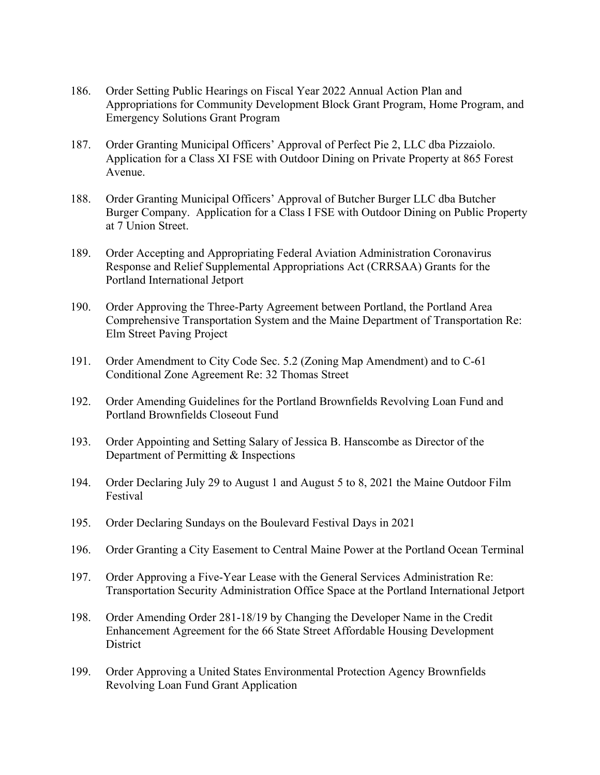- 186. Order Setting Public Hearings on Fiscal Year 2022 Annual Action Plan and Appropriations for Community Development Block Grant Program, Home Program, and Emergency Solutions Grant Program
- 187. Order Granting Municipal Officers' Approval of Perfect Pie 2, LLC dba Pizzaiolo. Application for a Class XI FSE with Outdoor Dining on Private Property at 865 Forest Avenue.
- 188. Order Granting Municipal Officers' Approval of Butcher Burger LLC dba Butcher Burger Company. Application for a Class I FSE with Outdoor Dining on Public Property at 7 Union Street.
- 189. Order Accepting and Appropriating Federal Aviation Administration Coronavirus Response and Relief Supplemental Appropriations Act (CRRSAA) Grants for the Portland International Jetport
- 190. Order Approving the Three-Party Agreement between Portland, the Portland Area Comprehensive Transportation System and the Maine Department of Transportation Re: Elm Street Paving Project
- 191. Order Amendment to City Code Sec. 5.2 (Zoning Map Amendment) and to C-61 Conditional Zone Agreement Re: 32 Thomas Street
- 192. Order Amending Guidelines for the Portland Brownfields Revolving Loan Fund and Portland Brownfields Closeout Fund
- 193. Order Appointing and Setting Salary of Jessica B. Hanscombe as Director of the Department of Permitting & Inspections
- 194. Order Declaring July 29 to August 1 and August 5 to 8, 2021 the Maine Outdoor Film Festival
- 195. Order Declaring Sundays on the Boulevard Festival Days in 2021
- 196. Order Granting a City Easement to Central Maine Power at the Portland Ocean Terminal
- 197. Order Approving a Five-Year Lease with the General Services Administration Re: Transportation Security Administration Office Space at the Portland International Jetport
- 198. Order Amending Order 281-18/19 by Changing the Developer Name in the Credit Enhancement Agreement for the 66 State Street Affordable Housing Development **District**
- 199. Order Approving a United States Environmental Protection Agency Brownfields Revolving Loan Fund Grant Application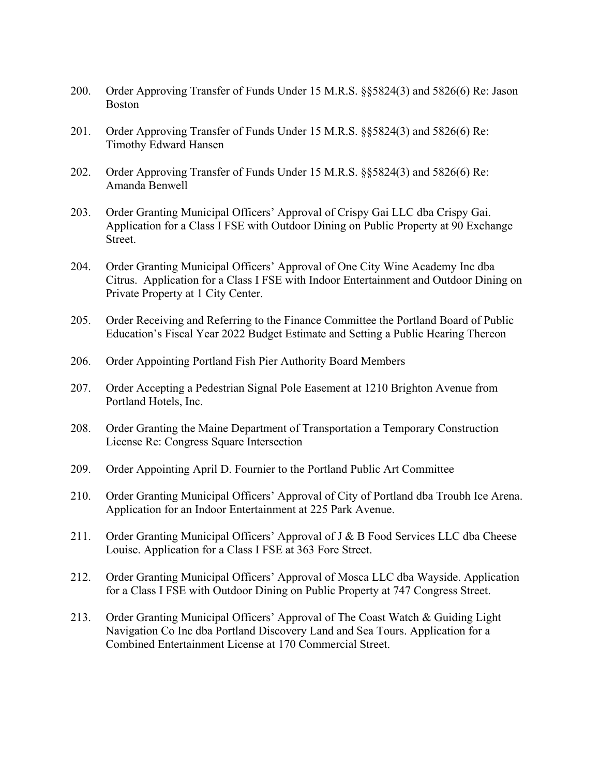- 200. Order Approving Transfer of Funds Under 15 M.R.S. §§5824(3) and 5826(6) Re: Jason Boston
- 201. Order Approving Transfer of Funds Under 15 M.R.S. §§5824(3) and 5826(6) Re: Timothy Edward Hansen
- 202. Order Approving Transfer of Funds Under 15 M.R.S. §§5824(3) and 5826(6) Re: Amanda Benwell
- 203. Order Granting Municipal Officers' Approval of Crispy Gai LLC dba Crispy Gai. Application for a Class I FSE with Outdoor Dining on Public Property at 90 Exchange Street.
- 204. Order Granting Municipal Officers' Approval of One City Wine Academy Inc dba Citrus. Application for a Class I FSE with Indoor Entertainment and Outdoor Dining on Private Property at 1 City Center.
- 205. Order Receiving and Referring to the Finance Committee the Portland Board of Public Education's Fiscal Year 2022 Budget Estimate and Setting a Public Hearing Thereon
- 206. Order Appointing Portland Fish Pier Authority Board Members
- 207. Order Accepting a Pedestrian Signal Pole Easement at 1210 Brighton Avenue from Portland Hotels, Inc.
- 208. Order Granting the Maine Department of Transportation a Temporary Construction License Re: Congress Square Intersection
- 209. Order Appointing April D. Fournier to the Portland Public Art Committee
- 210. Order Granting Municipal Officers' Approval of City of Portland dba Troubh Ice Arena. Application for an Indoor Entertainment at 225 Park Avenue.
- 211. Order Granting Municipal Officers' Approval of J & B Food Services LLC dba Cheese Louise. Application for a Class I FSE at 363 Fore Street.
- 212. Order Granting Municipal Officers' Approval of Mosca LLC dba Wayside. Application for a Class I FSE with Outdoor Dining on Public Property at 747 Congress Street.
- 213. Order Granting Municipal Officers' Approval of The Coast Watch & Guiding Light Navigation Co Inc dba Portland Discovery Land and Sea Tours. Application for a Combined Entertainment License at 170 Commercial Street.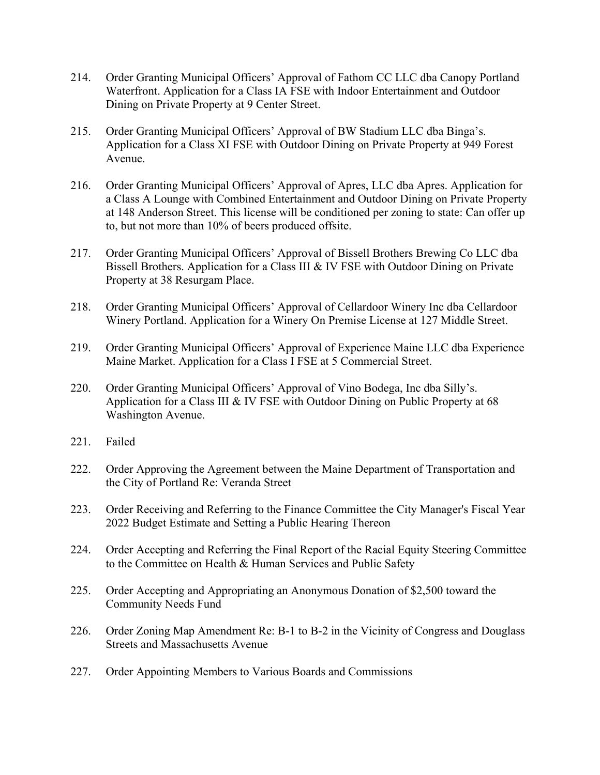- 214. Order Granting Municipal Officers' Approval of Fathom CC LLC dba Canopy Portland Waterfront. Application for a Class IA FSE with Indoor Entertainment and Outdoor Dining on Private Property at 9 Center Street.
- 215. Order Granting Municipal Officers' Approval of BW Stadium LLC dba Binga's. Application for a Class XI FSE with Outdoor Dining on Private Property at 949 Forest Avenue.
- 216. Order Granting Municipal Officers' Approval of Apres, LLC dba Apres. Application for a Class A Lounge with Combined Entertainment and Outdoor Dining on Private Property at 148 Anderson Street. This license will be conditioned per zoning to state: Can offer up to, but not more than 10% of beers produced offsite.
- 217. Order Granting Municipal Officers' Approval of Bissell Brothers Brewing Co LLC dba Bissell Brothers. Application for a Class III & IV FSE with Outdoor Dining on Private Property at 38 Resurgam Place.
- 218. Order Granting Municipal Officers' Approval of Cellardoor Winery Inc dba Cellardoor Winery Portland. Application for a Winery On Premise License at 127 Middle Street.
- 219. Order Granting Municipal Officers' Approval of Experience Maine LLC dba Experience Maine Market. Application for a Class I FSE at 5 Commercial Street.
- 220. Order Granting Municipal Officers' Approval of Vino Bodega, Inc dba Silly's. Application for a Class III & IV FSE with Outdoor Dining on Public Property at 68 Washington Avenue.
- 221. Failed
- 222. Order Approving the Agreement between the Maine Department of Transportation and the City of Portland Re: Veranda Street
- 223. Order Receiving and Referring to the Finance Committee the City Manager's Fiscal Year 2022 Budget Estimate and Setting a Public Hearing Thereon
- 224. Order Accepting and Referring the Final Report of the Racial Equity Steering Committee to the Committee on Health & Human Services and Public Safety
- 225. Order Accepting and Appropriating an Anonymous Donation of \$2,500 toward the Community Needs Fund
- 226. Order Zoning Map Amendment Re: B-1 to B-2 in the Vicinity of Congress and Douglass Streets and Massachusetts Avenue
- 227. Order Appointing Members to Various Boards and Commissions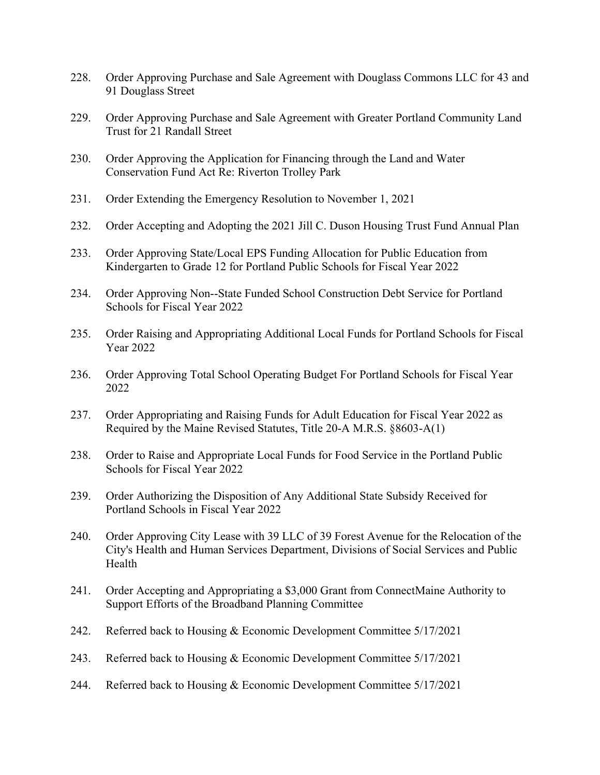- 228. Order Approving Purchase and Sale Agreement with Douglass Commons LLC for 43 and 91 Douglass Street
- 229. Order Approving Purchase and Sale Agreement with Greater Portland Community Land Trust for 21 Randall Street
- 230. Order Approving the Application for Financing through the Land and Water Conservation Fund Act Re: Riverton Trolley Park
- 231. Order Extending the Emergency Resolution to November 1, 2021
- 232. Order Accepting and Adopting the 2021 Jill C. Duson Housing Trust Fund Annual Plan
- 233. Order Approving State/Local EPS Funding Allocation for Public Education from Kindergarten to Grade 12 for Portland Public Schools for Fiscal Year 2022
- 234. Order Approving Non-State Funded School Construction Debt Service for Portland Schools for Fiscal Year 2022
- 235. Order Raising and Appropriating Additional Local Funds for Portland Schools for Fiscal Year 2022
- 236. Order Approving Total School Operating Budget For Portland Schools for Fiscal Year 2022
- 237. Order Appropriating and Raising Funds for Adult Education for Fiscal Year 2022 as Required by the Maine Revised Statutes, Title 20-A M.R.S. §8603-A(1)
- 238. Order to Raise and Appropriate Local Funds for Food Service in the Portland Public Schools for Fiscal Year 2022
- 239. Order Authorizing the Disposition of Any Additional State Subsidy Received for Portland Schools in Fiscal Year 2022
- 240. Order Approving City Lease with 39 LLC of 39 Forest Avenue for the Relocation of the City's Health and Human Services Department, Divisions of Social Services and Public Health
- 241. Order Accepting and Appropriating a \$3,000 Grant from ConnectMaine Authority to Support Efforts of the Broadband Planning Committee
- 242. Referred back to Housing & Economic Development Committee 5/17/2021
- 243. Referred back to Housing & Economic Development Committee 5/17/2021
- 244. Referred back to Housing & Economic Development Committee 5/17/2021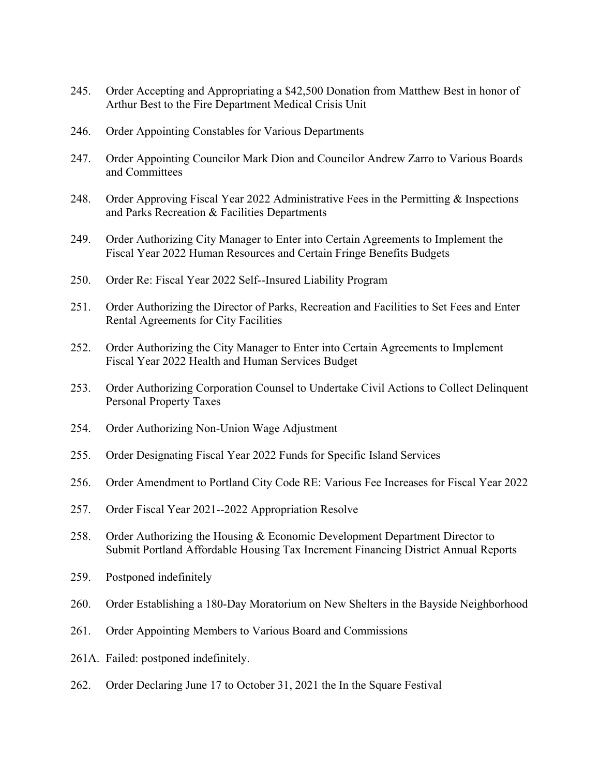- 245. Order Accepting and Appropriating a \$42,500 Donation from Matthew Best in honor of Arthur Best to the Fire Department Medical Crisis Unit
- 246. Order Appointing Constables for Various Departments
- 247. Order Appointing Councilor Mark Dion and Councilor Andrew Zarro to Various Boards and Committees
- 248. Order Approving Fiscal Year 2022 Administrative Fees in the Permitting & Inspections and Parks Recreation & Facilities Departments
- 249. Order Authorizing City Manager to Enter into Certain Agreements to Implement the Fiscal Year 2022 Human Resources and Certain Fringe Benefits Budgets
- 250. Order Re: Fiscal Year 2022 Self-Insured Liability Program
- 251. Order Authorizing the Director of Parks, Recreation and Facilities to Set Fees and Enter Rental Agreements for City Facilities
- 252. Order Authorizing the City Manager to Enter into Certain Agreements to Implement Fiscal Year 2022 Health and Human Services Budget
- 253. Order Authorizing Corporation Counsel to Undertake Civil Actions to Collect Delinquent Personal Property Taxes
- 254. Order Authorizing Non-Union Wage Adjustment
- 255. Order Designating Fiscal Year 2022 Funds for Specific Island Services
- 256. Order Amendment to Portland City Code RE: Various Fee Increases for Fiscal Year 2022
- 257. Order Fiscal Year 2021-2022 Appropriation Resolve
- 258. Order Authorizing the Housing & Economic Development Department Director to Submit Portland Affordable Housing Tax Increment Financing District Annual Reports
- 259. Postponed indefinitely
- 260. Order Establishing a 180-Day Moratorium on New Shelters in the Bayside Neighborhood
- 261. Order Appointing Members to Various Board and Commissions
- 261A. Failed: postponed indefinitely.
- 262. Order Declaring June 17 to October 31, 2021 the In the Square Festival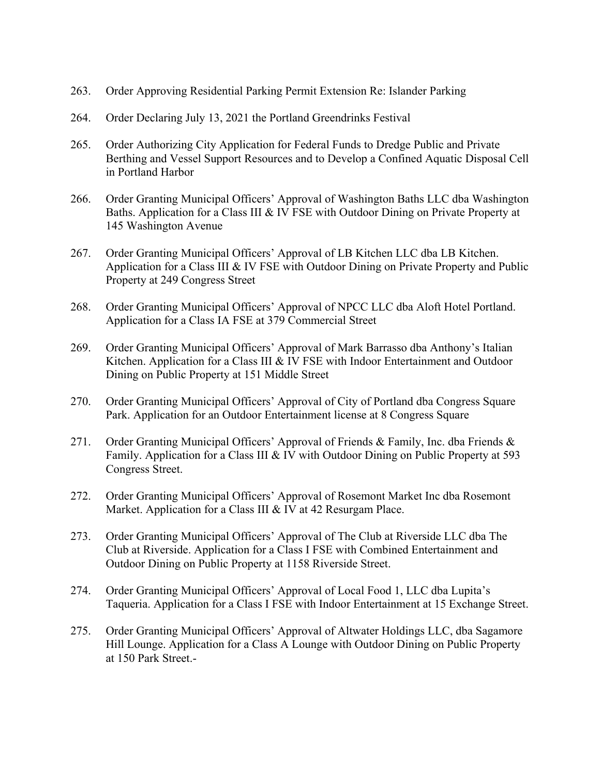- 263. Order Approving Residential Parking Permit Extension Re: Islander Parking
- 264. Order Declaring July 13, 2021 the Portland Greendrinks Festival
- 265. Order Authorizing City Application for Federal Funds to Dredge Public and Private Berthing and Vessel Support Resources and to Develop a Confined Aquatic Disposal Cell in Portland Harbor
- 266. Order Granting Municipal Officers' Approval of Washington Baths LLC dba Washington Baths. Application for a Class III & IV FSE with Outdoor Dining on Private Property at 145 Washington Avenue
- 267. Order Granting Municipal Officers' Approval of LB Kitchen LLC dba LB Kitchen. Application for a Class III & IV FSE with Outdoor Dining on Private Property and Public Property at 249 Congress Street
- 268. Order Granting Municipal Officers' Approval of NPCC LLC dba Aloft Hotel Portland. Application for a Class IA FSE at 379 Commercial Street
- 269. Order Granting Municipal Officers' Approval of Mark Barrasso dba Anthony's Italian Kitchen. Application for a Class III & IV FSE with Indoor Entertainment and Outdoor Dining on Public Property at 151 Middle Street
- 270. Order Granting Municipal Officers' Approval of City of Portland dba Congress Square Park. Application for an Outdoor Entertainment license at 8 Congress Square
- 271. Order Granting Municipal Officers' Approval of Friends & Family, Inc. dba Friends & Family. Application for a Class III & IV with Outdoor Dining on Public Property at 593 Congress Street.
- 272. Order Granting Municipal Officers' Approval of Rosemont Market Inc dba Rosemont Market. Application for a Class III & IV at 42 Resurgam Place.
- 273. Order Granting Municipal Officers' Approval of The Club at Riverside LLC dba The Club at Riverside. Application for a Class I FSE with Combined Entertainment and Outdoor Dining on Public Property at 1158 Riverside Street.
- 274. Order Granting Municipal Officers' Approval of Local Food 1, LLC dba Lupita's Taqueria. Application for a Class I FSE with Indoor Entertainment at 15 Exchange Street.
- 275. Order Granting Municipal Officers' Approval of Altwater Holdings LLC, dba Sagamore Hill Lounge. Application for a Class A Lounge with Outdoor Dining on Public Property at 150 Park Street.-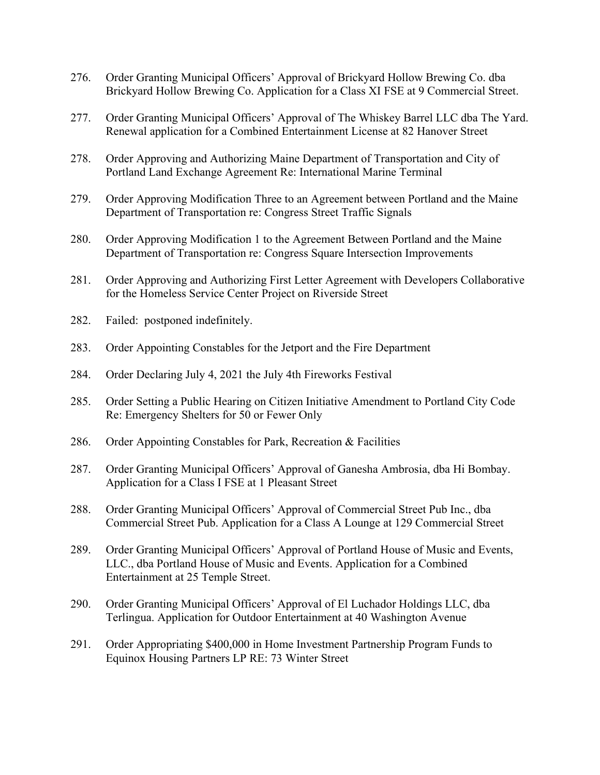- 276. Order Granting Municipal Officers' Approval of Brickyard Hollow Brewing Co. dba Brickyard Hollow Brewing Co. Application for a Class XI FSE at 9 Commercial Street.
- 277. Order Granting Municipal Officers' Approval of The Whiskey Barrel LLC dba The Yard. Renewal application for a Combined Entertainment License at 82 Hanover Street
- 278. Order Approving and Authorizing Maine Department of Transportation and City of Portland Land Exchange Agreement Re: International Marine Terminal
- 279. Order Approving Modification Three to an Agreement between Portland and the Maine Department of Transportation re: Congress Street Traffic Signals
- 280. Order Approving Modification 1 to the Agreement Between Portland and the Maine Department of Transportation re: Congress Square Intersection Improvements
- 281. Order Approving and Authorizing First Letter Agreement with Developers Collaborative for the Homeless Service Center Project on Riverside Street
- 282. Failed: postponed indefinitely.
- 283. Order Appointing Constables for the Jetport and the Fire Department
- 284. Order Declaring July 4, 2021 the July 4th Fireworks Festival
- 285. Order Setting a Public Hearing on Citizen Initiative Amendment to Portland City Code Re: Emergency Shelters for 50 or Fewer Only
- 286. Order Appointing Constables for Park, Recreation & Facilities
- 287. Order Granting Municipal Officers' Approval of Ganesha Ambrosia, dba Hi Bombay. Application for a Class I FSE at 1 Pleasant Street
- 288. Order Granting Municipal Officers' Approval of Commercial Street Pub Inc., dba Commercial Street Pub. Application for a Class A Lounge at 129 Commercial Street
- 289. Order Granting Municipal Officers' Approval of Portland House of Music and Events, LLC., dba Portland House of Music and Events. Application for a Combined Entertainment at 25 Temple Street.
- 290. Order Granting Municipal Officers' Approval of El Luchador Holdings LLC, dba Terlingua. Application for Outdoor Entertainment at 40 Washington Avenue
- 291. Order Appropriating \$400,000 in Home Investment Partnership Program Funds to Equinox Housing Partners LP RE: 73 Winter Street